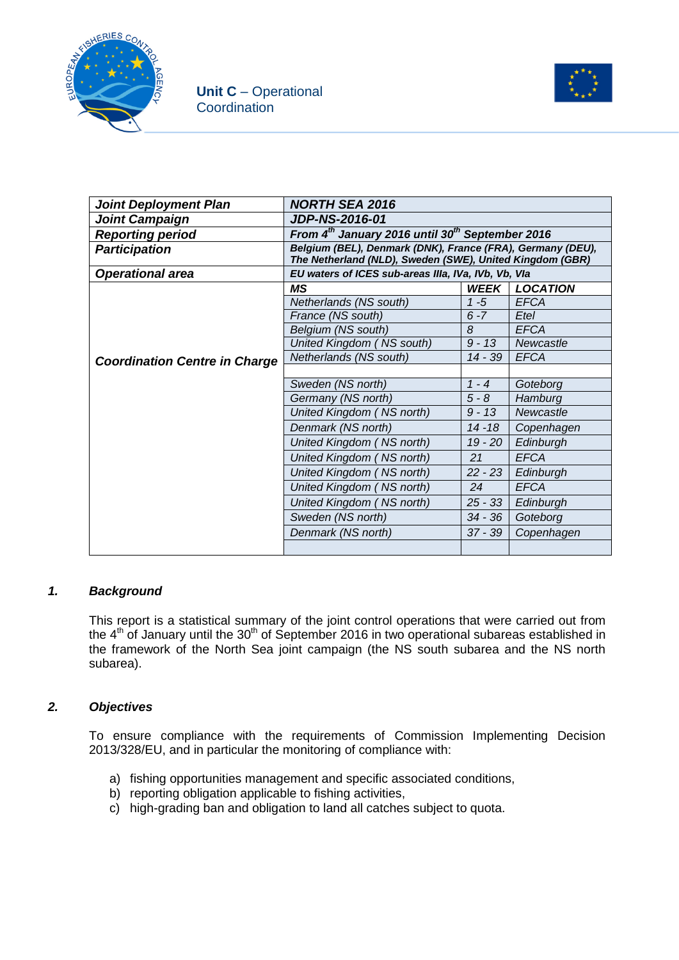



| <b>Joint Deployment Plan</b>         | <b>NORTH SEA 2016</b>                                                                                                  |             |                 |  |
|--------------------------------------|------------------------------------------------------------------------------------------------------------------------|-------------|-----------------|--|
| <b>Joint Campaign</b>                | JDP-NS-2016-01                                                                                                         |             |                 |  |
| <b>Reporting period</b>              | From 4 <sup>th</sup> January 2016 until 30 <sup>th</sup> September 2016                                                |             |                 |  |
| <b>Participation</b>                 | Belgium (BEL), Denmark (DNK), France (FRA), Germany (DEU),<br>The Netherland (NLD), Sweden (SWE), United Kingdom (GBR) |             |                 |  |
| <b>Operational area</b>              | EU waters of ICES sub-areas IIIa, IVa, IVb, Vb, Vla                                                                    |             |                 |  |
|                                      | ΜS                                                                                                                     | <b>WEEK</b> | <b>LOCATION</b> |  |
|                                      | Netherlands (NS south)                                                                                                 | $1 - 5$     | <b>EFCA</b>     |  |
|                                      | France (NS south)                                                                                                      | $6 - 7$     | Etel            |  |
|                                      | Belgium (NS south)                                                                                                     | 8           | <b>EFCA</b>     |  |
|                                      | United Kingdom (NS south)                                                                                              | $9 - 13$    | Newcastle       |  |
| <b>Coordination Centre in Charge</b> | Netherlands (NS south)                                                                                                 | $14 - 39$   | <b>EFCA</b>     |  |
|                                      |                                                                                                                        |             |                 |  |
|                                      | Sweden (NS north)                                                                                                      | $1 - 4$     | Goteborg        |  |
|                                      | Germany (NS north)                                                                                                     | $5 - 8$     | Hamburg         |  |
|                                      | United Kingdom (NS north)                                                                                              | $9 - 13$    | Newcastle       |  |
|                                      | Denmark (NS north)                                                                                                     | $14 - 18$   | Copenhagen      |  |
|                                      | United Kingdom (NS north)                                                                                              | $19 - 20$   | Edinburgh       |  |
|                                      | United Kingdom (NS north)                                                                                              | 21          | <b>EFCA</b>     |  |
|                                      | United Kingdom (NS north)                                                                                              | $22 - 23$   | Edinburgh       |  |
|                                      | United Kingdom (NS north)                                                                                              | 24          | <b>EFCA</b>     |  |
|                                      | United Kingdom (NS north)                                                                                              | $25 - 33$   | Edinburgh       |  |
|                                      | Sweden (NS north)                                                                                                      | $34 - 36$   | Goteborg        |  |
|                                      | Denmark (NS north)                                                                                                     | $37 - 39$   | Copenhagen      |  |
|                                      |                                                                                                                        |             |                 |  |

### *1. Background*

This report is a statistical summary of the joint control operations that were carried out from the  $4<sup>th</sup>$  of January until the 30<sup>th</sup> of September 2016 in two operational subareas established in the framework of the North Sea joint campaign (the NS south subarea and the NS north subarea).

### *2. Objectives*

To ensure compliance with the requirements of Commission Implementing Decision 2013/328/EU, and in particular the monitoring of compliance with:

- a) fishing opportunities management and specific associated conditions,
- b) reporting obligation applicable to fishing activities.
- c) high-grading ban and obligation to land all catches subject to quota.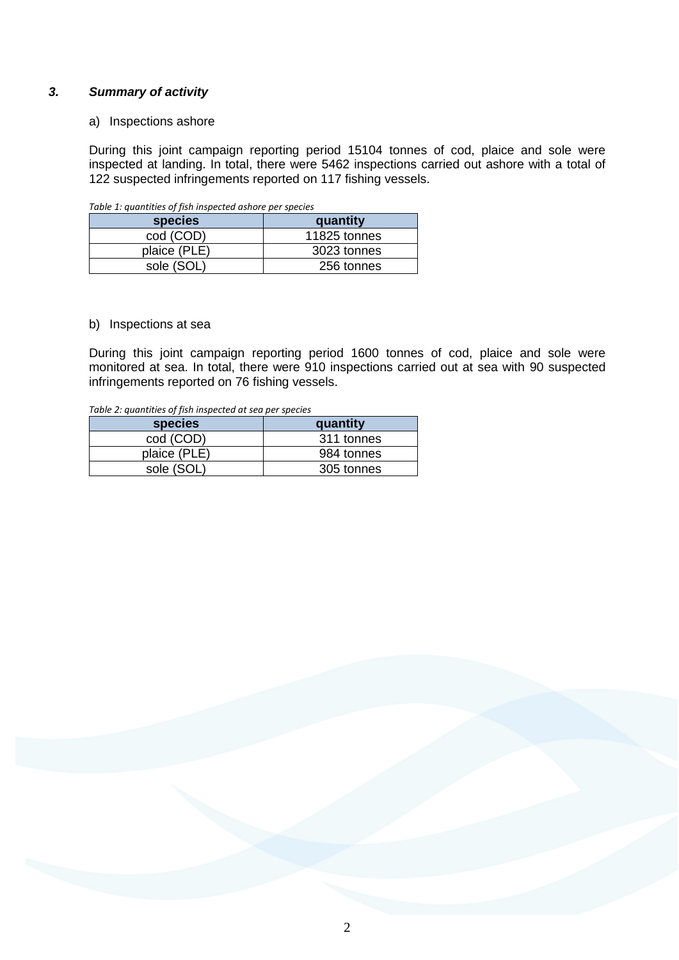### *3. Summary of activity*

#### a) Inspections ashore

During this joint campaign reporting period 15104 tonnes of cod, plaice and sole were inspected at landing. In total, there were 5462 inspections carried out ashore with a total of 122 suspected infringements reported on 117 fishing vessels.

| Table 1: quantities of fish inspected ashore per species |              |  |  |
|----------------------------------------------------------|--------------|--|--|
| <b>species</b>                                           | quantity     |  |  |
| cod (COD)                                                | 11825 tonnes |  |  |
| plaice (PLE)                                             | 3023 tonnes  |  |  |
| sole (SOL)                                               | 256 tonnes   |  |  |

#### *Table 1: quantities of fish inspected ashore per species*

#### b) Inspections at sea

During this joint campaign reporting period 1600 tonnes of cod, plaice and sole were monitored at sea. In total, there were 910 inspections carried out at sea with 90 suspected infringements reported on 76 fishing vessels.

*Table 2: quantities of fish inspected at sea per species*

| <b>species</b> | quantity   |
|----------------|------------|
| cod (COD)      | 311 tonnes |
| plaice (PLE)   | 984 tonnes |
| sole (SOL)     | 305 tonnes |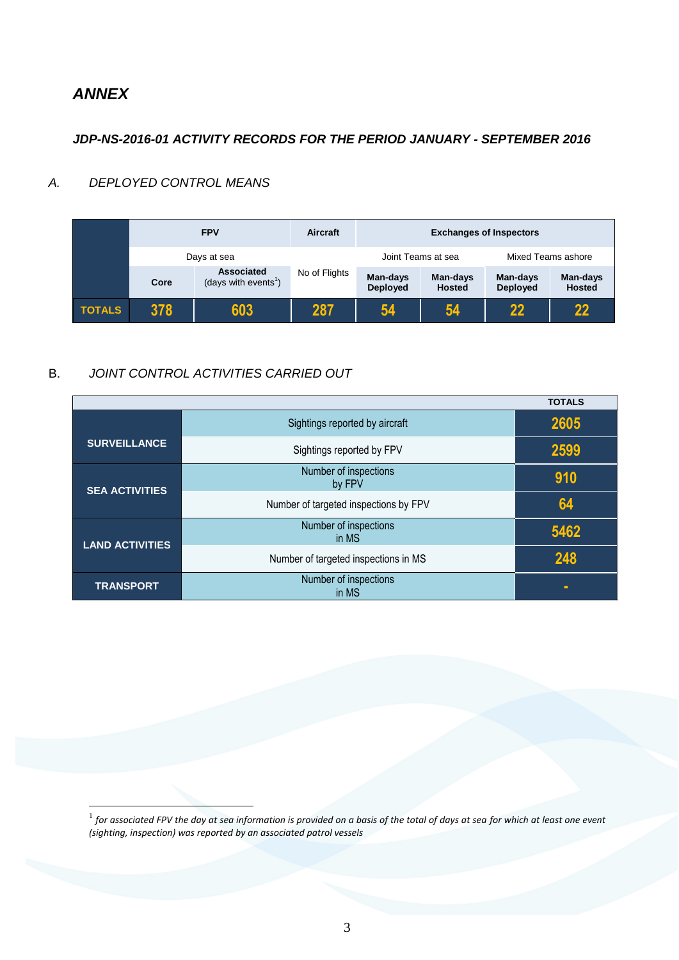# *ANNEX*

<u>.</u>

## *JDP-NS-2016-01 ACTIVITY RECORDS FOR THE PERIOD JANUARY - SEPTEMBER 2016*

## *A. DEPLOYED CONTROL MEANS*

|               |      | <b>FPV</b>                                     | <b>Aircraft</b> | <b>Exchanges of Inspectors</b> |                           |                             |                           |
|---------------|------|------------------------------------------------|-----------------|--------------------------------|---------------------------|-----------------------------|---------------------------|
|               |      | Days at sea                                    |                 | Joint Teams at sea             |                           | Mixed Teams ashore          |                           |
|               | Core | Associated<br>(days with events <sup>1</sup> ) | No of Flights   | Man-days<br><b>Deployed</b>    | Man-days<br><b>Hosted</b> | Man-days<br><b>Deployed</b> | Man-days<br><b>Hosted</b> |
| <b>TOTALS</b> | 378  | 603                                            | 287             | 54                             | 54                        | $22 \,$                     | 22                        |

## B. *JOINT CONTROL ACTIVITIES CARRIED OUT*

|                        |                                       | <b>TOTALS</b> |
|------------------------|---------------------------------------|---------------|
|                        | Sightings reported by aircraft        | 2605          |
| <b>SURVEILLANCE</b>    | Sightings reported by FPV             | 2599          |
| <b>SEA ACTIVITIES</b>  | Number of inspections<br>by FPV       | 910           |
|                        | Number of targeted inspections by FPV | 64            |
| <b>LAND ACTIVITIES</b> | Number of inspections<br>in MS        | 5462          |
|                        | Number of targeted inspections in MS  | 248           |
| <b>TRANSPORT</b>       | Number of inspections<br>in MS        | ٠             |

 $^{\rm 1}$  for associated FPV the day at sea information is provided on a basis of the total of days at sea for which at least one event *(sighting, inspection) was reported by an associated patrol vessels*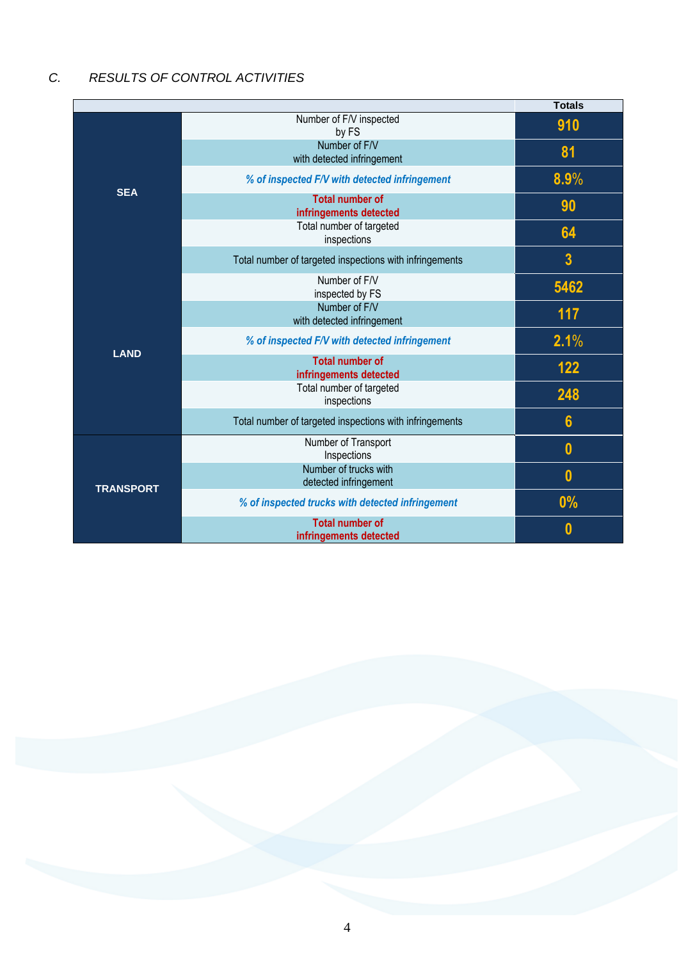# *C. RESULTS OF CONTROL ACTIVITIES*

|                  |                                                         | <b>Totals</b>           |
|------------------|---------------------------------------------------------|-------------------------|
| <b>SEA</b>       | Number of F/V inspected<br>by FS                        | 910                     |
|                  | Number of F/V<br>with detected infringement             | 81                      |
|                  | % of inspected F/V with detected infringement           | 8.9%                    |
|                  | <b>Total number of</b><br>infringements detected        | 90                      |
|                  | Total number of targeted<br>inspections                 | 64                      |
|                  | Total number of targeted inspections with infringements | $\overline{\mathbf{3}}$ |
|                  | Number of F/V<br>inspected by FS                        | 5462                    |
|                  | Number of F/V<br>with detected infringement             | 117                     |
| <b>LAND</b>      | % of inspected F/V with detected infringement           | 2.1%                    |
|                  | <b>Total number of</b><br>infringements detected        | 122                     |
|                  | Total number of targeted<br>inspections                 | 248                     |
|                  | Total number of targeted inspections with infringements | $6\phantom{1}$          |
|                  | Number of Transport<br>Inspections                      | $\bf{0}$                |
|                  | Number of trucks with<br>detected infringement          | $\bf{0}$                |
| <b>TRANSPORT</b> | % of inspected trucks with detected infringement        | 0%                      |
|                  | <b>Total number of</b><br>infringements detected        | 0                       |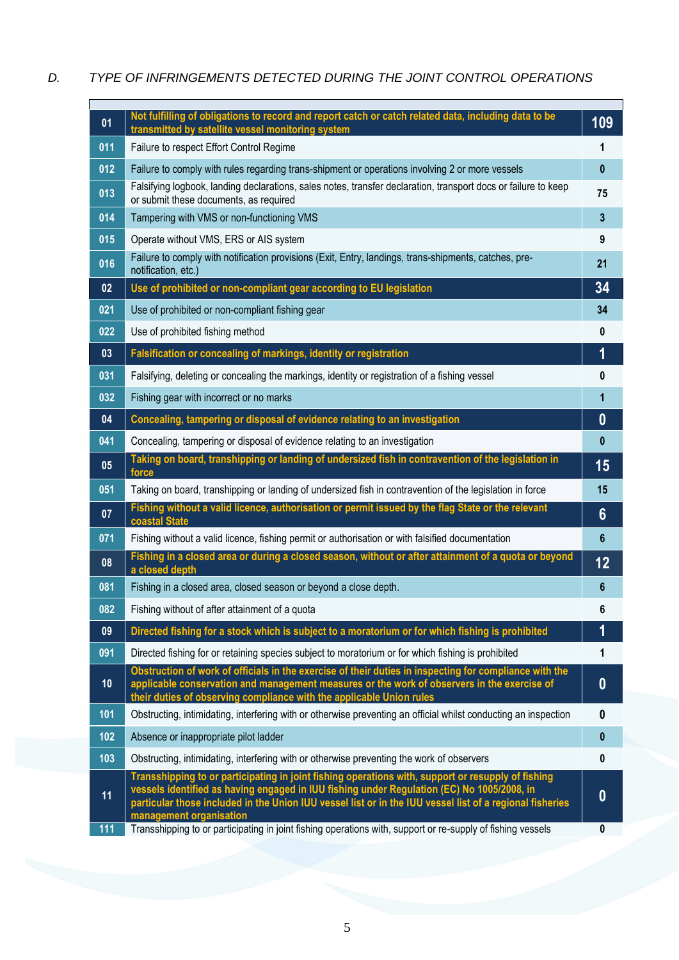## *D. TYPE OF INFRINGEMENTS DETECTED DURING THE JOINT CONTROL OPERATIONS*

| 01  | Not fulfilling of obligations to record and report catch or catch related data, including data to be<br>transmitted by satellite vessel monitoring system                                                                                                                                                    | 109            |
|-----|--------------------------------------------------------------------------------------------------------------------------------------------------------------------------------------------------------------------------------------------------------------------------------------------------------------|----------------|
| 011 | Failure to respect Effort Control Regime                                                                                                                                                                                                                                                                     | 1              |
| 012 | Failure to comply with rules regarding trans-shipment or operations involving 2 or more vessels                                                                                                                                                                                                              | $\mathbf{0}$   |
| 013 | Falsifying logbook, landing declarations, sales notes, transfer declaration, transport docs or failure to keep<br>or submit these documents, as required                                                                                                                                                     | 75             |
| 014 | Tampering with VMS or non-functioning VMS                                                                                                                                                                                                                                                                    | $\mathbf{3}$   |
| 015 | Operate without VMS, ERS or AIS system                                                                                                                                                                                                                                                                       | 9              |
| 016 | Failure to comply with notification provisions (Exit, Entry, landings, trans-shipments, catches, pre-<br>notification, etc.)                                                                                                                                                                                 | 21             |
| 02  | Use of prohibited or non-compliant gear according to EU legislation                                                                                                                                                                                                                                          | 34             |
| 021 | Use of prohibited or non-compliant fishing gear                                                                                                                                                                                                                                                              | 34             |
| 022 | Use of prohibited fishing method                                                                                                                                                                                                                                                                             | 0              |
| 03  | Falsification or concealing of markings, identity or registration                                                                                                                                                                                                                                            | 1              |
| 031 | Falsifying, deleting or concealing the markings, identity or registration of a fishing vessel                                                                                                                                                                                                                | 0              |
| 032 | Fishing gear with incorrect or no marks                                                                                                                                                                                                                                                                      | 1              |
| 04  | Concealing, tampering or disposal of evidence relating to an investigation                                                                                                                                                                                                                                   | $\bf{0}$       |
| 041 | Concealing, tampering or disposal of evidence relating to an investigation                                                                                                                                                                                                                                   | $\mathbf{0}$   |
| 05  | Taking on board, transhipping or landing of undersized fish in contravention of the legislation in<br>force                                                                                                                                                                                                  | 15             |
| 051 | Taking on board, transhipping or landing of undersized fish in contravention of the legislation in force                                                                                                                                                                                                     | 15             |
| 07  | Fishing without a valid licence, authorisation or permit issued by the flag State or the relevant<br>coastal State                                                                                                                                                                                           | $6\phantom{1}$ |
| 071 | Fishing without a valid licence, fishing permit or authorisation or with falsified documentation                                                                                                                                                                                                             | 6              |
| 08  | Fishing in a closed area or during a closed season, without or after attainment of a quota or beyond<br>a closed depth                                                                                                                                                                                       | 12             |
| 081 | Fishing in a closed area, closed season or beyond a close depth.                                                                                                                                                                                                                                             | 6              |
| 082 | Fishing without of after attainment of a quota                                                                                                                                                                                                                                                               | 6              |
| 09  | Directed fishing for a stock which is subject to a moratorium or for which fishing is prohibited                                                                                                                                                                                                             | 1              |
| 091 | Directed fishing for or retaining species subject to moratorium or for which fishing is prohibited                                                                                                                                                                                                           | 1              |
| 10  | Obstruction of work of officials in the exercise of their duties in inspecting for compliance with the<br>applicable conservation and management measures or the work of observers in the exercise of<br>their duties of observing compliance with the applicable Union rules                                | $\bf{0}$       |
| 101 | Obstructing, intimidating, interfering with or otherwise preventing an official whilst conducting an inspection                                                                                                                                                                                              | 0              |
| 102 | Absence or inappropriate pilot ladder                                                                                                                                                                                                                                                                        | $\pmb{0}$      |
| 103 | Obstructing, intimidating, interfering with or otherwise preventing the work of observers                                                                                                                                                                                                                    | $\mathbf{0}$   |
| 11  | Transshipping to or participating in joint fishing operations with, support or resupply of fishing<br>vessels identified as having engaged in IUU fishing under Regulation (EC) No 1005/2008, in<br>particular those included in the Union IUU vessel list or in the IUU vessel list of a regional fisheries | $\bf{0}$       |
| 111 | management organisation<br>Transshipping to or participating in joint fishing operations with, support or re-supply of fishing vessels                                                                                                                                                                       | 0              |